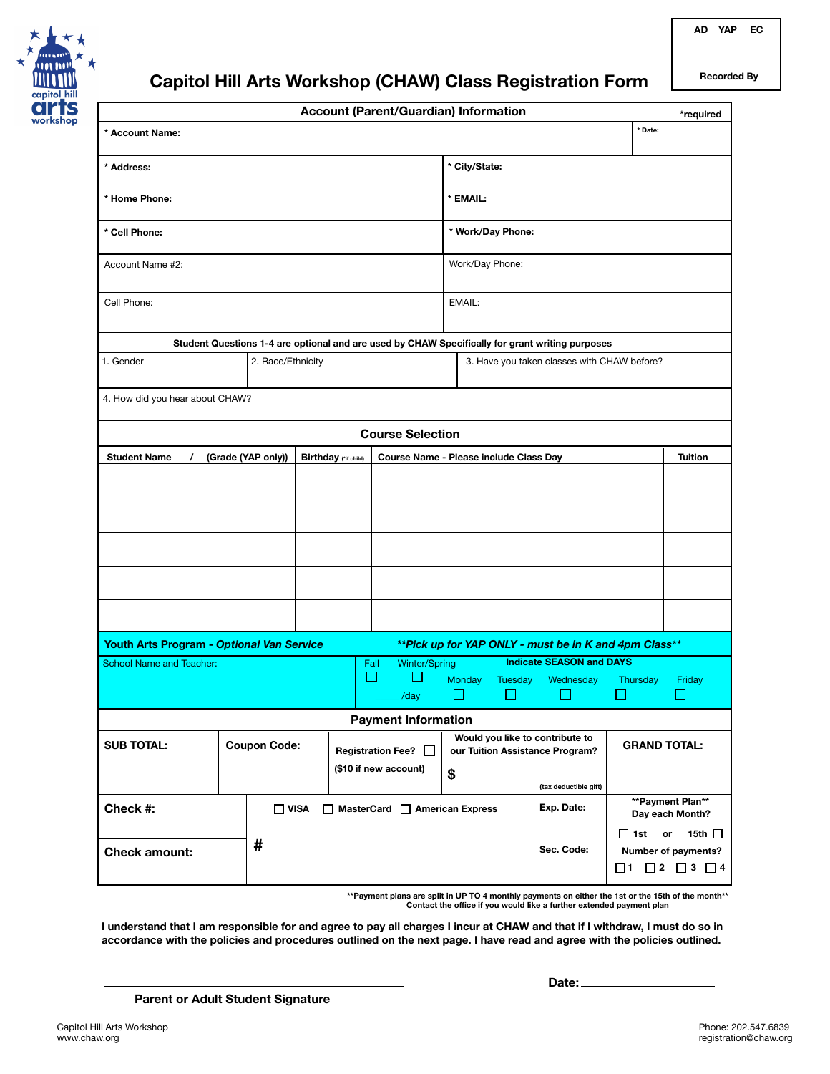

# **Capitol Hill Arts Workshop (CHAW) Class Registration Form**

**AD YAP EC**

| <b>Recorded By</b> |
|--------------------|
|--------------------|

|                                                                                                    |  |  |  |                                 | <b>Account (Parent/Guardian) Information</b>             |                                                                    |                               |                                     |                                                                                 | *required |
|----------------------------------------------------------------------------------------------------|--|--|--|---------------------------------|----------------------------------------------------------|--------------------------------------------------------------------|-------------------------------|-------------------------------------|---------------------------------------------------------------------------------|-----------|
| * Account Name:                                                                                    |  |  |  |                                 |                                                          |                                                                    |                               | * Date:                             |                                                                                 |           |
| * Address:                                                                                         |  |  |  |                                 | * City/State:                                            |                                                                    |                               |                                     |                                                                                 |           |
| * Home Phone:                                                                                      |  |  |  |                                 |                                                          | * EMAIL:                                                           |                               |                                     |                                                                                 |           |
| * Cell Phone:                                                                                      |  |  |  |                                 |                                                          | * Work/Day Phone:                                                  |                               |                                     |                                                                                 |           |
| Account Name #2:                                                                                   |  |  |  |                                 |                                                          | Work/Day Phone:                                                    |                               |                                     |                                                                                 |           |
| Cell Phone:                                                                                        |  |  |  |                                 |                                                          | EMAIL:                                                             |                               |                                     |                                                                                 |           |
| Student Questions 1-4 are optional and are used by CHAW Specifically for grant writing purposes    |  |  |  |                                 |                                                          |                                                                    |                               |                                     |                                                                                 |           |
| 1. Gender<br>2. Race/Ethnicity                                                                     |  |  |  |                                 |                                                          | 3. Have you taken classes with CHAW before?                        |                               |                                     |                                                                                 |           |
| 4. How did you hear about CHAW?                                                                    |  |  |  |                                 |                                                          |                                                                    |                               |                                     |                                                                                 |           |
| <b>Course Selection</b>                                                                            |  |  |  |                                 |                                                          |                                                                    |                               |                                     |                                                                                 |           |
| <b>Student Name</b><br>(Grade (YAP only))<br>Birthday (*if child)<br>$\prime$                      |  |  |  |                                 | Course Name - Please include Class Day<br><b>Tuition</b> |                                                                    |                               |                                     |                                                                                 |           |
|                                                                                                    |  |  |  |                                 |                                                          |                                                                    |                               |                                     |                                                                                 |           |
|                                                                                                    |  |  |  |                                 |                                                          |                                                                    |                               |                                     |                                                                                 |           |
|                                                                                                    |  |  |  |                                 |                                                          |                                                                    |                               |                                     |                                                                                 |           |
|                                                                                                    |  |  |  |                                 |                                                          |                                                                    |                               |                                     |                                                                                 |           |
|                                                                                                    |  |  |  |                                 |                                                          |                                                                    |                               |                                     |                                                                                 |           |
| Youth Arts Program - Optional Van Service<br>**Pick up for YAP ONLY - must be in K and 4pm Class** |  |  |  |                                 |                                                          |                                                                    |                               |                                     |                                                                                 |           |
| <b>Indicate SEASON and DAYS</b><br>Winter/Spring<br>School Name and Teacher:<br>Fall               |  |  |  |                                 |                                                          |                                                                    |                               |                                     |                                                                                 |           |
|                                                                                                    |  |  |  |                                 | $\mathcal{C}^{\mathcal{A}}$<br>$\mathbb{R}^n$<br>/day    |                                                                    | <b>Monday</b><br>Tuesday<br>H | Wednesday                           | Thursday                                                                        | Friday    |
| <b>Payment Information</b>                                                                         |  |  |  |                                 |                                                          |                                                                    |                               |                                     |                                                                                 |           |
| <b>SUB TOTAL:</b><br><b>Coupon Code:</b>                                                           |  |  |  | Registration Fee?               |                                                          | Would you like to contribute to<br>our Tuition Assistance Program? |                               |                                     | <b>GRAND TOTAL:</b>                                                             |           |
|                                                                                                    |  |  |  | (\$10 if new account)           |                                                          |                                                                    |                               | (tax deductible gift)               |                                                                                 |           |
| Check #:<br>$\Box$ VISA                                                                            |  |  |  | □ MasterCard □ American Express |                                                          |                                                                    | Exp. Date:                    | **Payment Plan**<br>Day each Month? |                                                                                 |           |
| #<br><b>Check amount:</b>                                                                          |  |  |  |                                 |                                                          |                                                                    | Sec. Code:                    | □ 1st                               | 15th $\Box$<br>or<br>Number of payments?<br>$\Box$ 1 $\Box$ 2 $\Box$ 3 $\Box$ 4 |           |

**\*\*Payment plans are split in UP TO 4 monthly payments on either the 1st or the 15th of the month\*\* Contact the office if you would like a further extended payment plan**

**I understand that I am responsible for and agree to pay all charges I incur at CHAW and that if I withdraw, I must do so in accordance with the policies and procedures outlined on the next page. I have read and agree with the policies outlined.**

**Date:**